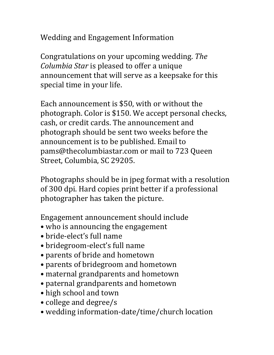Wedding and Engagement Information

Congratulations on your upcoming wedding. *The Columbia Star* is pleased to offer a unique announcement that will serve as a keepsake for this special time in your life.

Each announcement is \$50, with or without the photograph. Color is \$150. We accept personal checks, cash, or credit cards. The announcement and photograph should be sent two weeks before the announcement is to be published. Email to pams@thecolumbiastar.com or mail to 723 Queen Street, Columbia, SC 29205.

Photographs should be in jpeg format with a resolution of 300 dpi. Hard copies print better if a professional photographer has taken the picture.

Engagement announcement should include

- who is announcing the engagement
- bride-elect's full name
- bridegroom-elect's full name
- parents of bride and hometown
- parents of bridegroom and hometown
- maternal grandparents and hometown
- paternal grandparents and hometown
- high school and town
- college and degree/s
- wedding information-date/time/church location